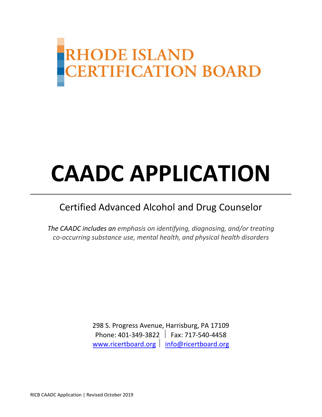

# **CAADC APPLICATION**

# Certified Advanced Alcohol and Drug Counselor

*The CAADC includes an emphasis on identifying, diagnosing, and/or treating co-occurring substance use, mental health, and physical health disorders*

> 298 S. Progress Avenue, Harrisburg, PA 17109 Phone: 401-349-3822 Fax: 717-540-4458 [www.ricertboard.org](http://www.ricertboard.org/) | [info@ricertboard.org](mailto:info@pacertboard.org)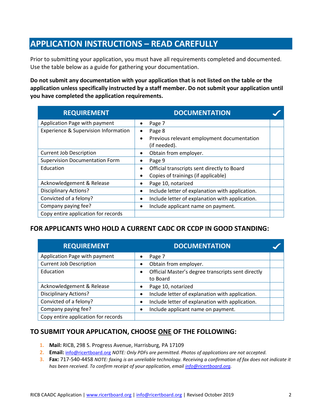# **APPLICATION INSTRUCTIONS – READ CAREFULLY**

Prior to submitting your application, you must have all requirements completed and documented. Use the table below as a guide for gathering your documentation.

**Do not submit any documentation with your application that is not listed on the table or the application unless specifically instructed by a staff member. Do not submit your application until you have completed the application requirements.**

| <b>REQUIREMENT</b>                              | <b>DOCUMENTATION</b>                                                    |  |
|-------------------------------------------------|-------------------------------------------------------------------------|--|
| Application Page with payment                   | Page 7<br>$\bullet$                                                     |  |
| <b>Experience &amp; Supervision Information</b> | Page 8<br>٠                                                             |  |
|                                                 | Previous relevant employment documentation<br>$\bullet$<br>(if needed). |  |
| <b>Current Job Description</b>                  | Obtain from employer.<br>٠                                              |  |
| <b>Supervision Documentation Form</b>           | Page 9<br>٠                                                             |  |
| Education                                       | Official transcripts sent directly to Board<br>$\bullet$                |  |
|                                                 | Copies of trainings (if applicable)<br>$\bullet$                        |  |
| Acknowledgement & Release                       | Page 10, notarized<br>٠                                                 |  |
| <b>Disciplinary Actions?</b>                    | Include letter of explanation with application.<br>$\bullet$            |  |
| Convicted of a felony?                          | Include letter of explanation with application.<br>$\bullet$            |  |
| Company paying fee?                             | Include applicant name on payment.<br>$\bullet$                         |  |
| Copy entire application for records             |                                                                         |  |

#### **FOR APPLICANTS WHO HOLD A CURRENT CADC OR CCDP IN GOOD STANDING:**

| <b>REQUIREMENT</b>                  | <b>DOCUMENTATION</b>                                                        |  |
|-------------------------------------|-----------------------------------------------------------------------------|--|
| Application Page with payment       | Page 7                                                                      |  |
| <b>Current Job Description</b>      | Obtain from employer.                                                       |  |
| Education                           | Official Master's degree transcripts sent directly<br>$\bullet$<br>to Board |  |
| Acknowledgement & Release           | Page 10, notarized                                                          |  |
| <b>Disciplinary Actions?</b>        | Include letter of explanation with application.                             |  |
| Convicted of a felony?              | Include letter of explanation with application.                             |  |
| Company paying fee?                 | Include applicant name on payment.                                          |  |
| Copy entire application for records |                                                                             |  |

#### **TO SUBMIT YOUR APPLICATION, CHOOSE ONE OF THE FOLLOWING:**

- **1. Mail:** RICB, 298 S. Progress Avenue, Harrisburg, PA 17109
- **2. Email:** [info@ricertboard.org](mailto:info@ricertboard.org) *NOTE: Only PDFs are permitted. Photos of applications are not accepted.*
- **3. Fax:** 717-540-4458 *NOTE: faxing is an unreliable technology. Receiving a confirmation of fax does not indicate it has been received. To confirm receipt of your application, email [info@ricertboard.org.](mailto:info@ricertboard.org)*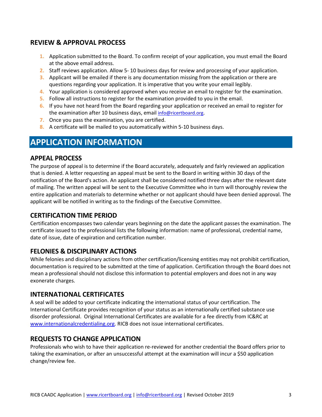#### **REVIEW & APPROVAL PROCESS**

- **1.** Application submitted to the Board. To confirm receipt of your application, you must email the Board at the above email address.
- **2.** Staff reviews application. Allow 5- 10 business days for review and processing of your application.
- **3.** Applicant will be emailed if there is any documentation missing from the application or there are questions regarding your application. It is imperative that you write your email legibly.
- **4.** Your application is considered approved when you receive an email to register for the examination.
- **5.** Follow all instructions to register for the examination provided to you in the email.
- **6.** If you have not heard from the Board regarding your application or received an email to register for the examination after 10 business days, email [info@ricertboard.org.](mailto:info@ricertboard.org)
- **7.** Once you pass the examination, you are certified.
- **8.** A certificate will be mailed to you automatically within 5-10 business days.

### **APPLICATION INFORMATION**

#### **APPEAL PROCESS**

The purpose of appeal is to determine if the Board accurately, adequately and fairly reviewed an application that is denied. A letter requesting an appeal must be sent to the Board in writing within 30 days of the notification of the Board's action. An applicant shall be considered notified three days after the relevant date of mailing. The written appeal will be sent to the Executive Committee who in turn will thoroughly review the entire application and materials to determine whether or not applicant should have been denied approval. The applicant will be notified in writing as to the findings of the Executive Committee.

#### **CERTIFICATION TIME PERIOD**

Certification encompasses two calendar years beginning on the date the applicant passes the examination. The certificate issued to the professional lists the following information: name of professional, credential name, date of issue, date of expiration and certification number.

#### **FELONIES & DISCIPLINARY ACTIONS**

While felonies and disciplinary actions from other certification/licensing entities may not prohibit certification, documentation is required to be submitted at the time of application. Certification through the Board does not mean a professional should not disclose this information to potential employers and does not in any way exonerate charges.

#### **INTERNATIONAL CERTIFICATES**

A seal will be added to your certificate indicating the international status of your certification. The International Certificate provides recognition of your status as an internationally certified substance use disorder professional. Original International Certificates are available for a fee directly from IC&RC at [www.internationalcredentialing.org.](http://www.internationalcredentialing.org/) RICB does not issue international certificates.

#### **REQUESTS TO CHANGE APPLICATION**

Professionals who wish to have their application re-reviewed for another credential the Board offers prior to taking the examination, or after an unsuccessful attempt at the examination will incur a \$50 application change/review fee.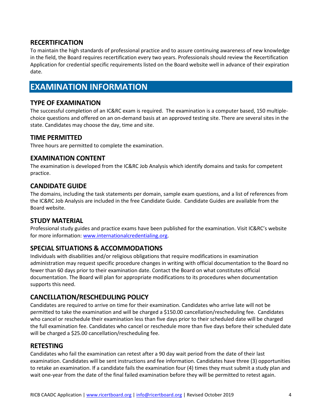#### **RECERTIFICATION**

To maintain the high standards of professional practice and to assure continuing awareness of new knowledge in the field, the Board requires recertification every two years. Professionals should review the Recertification Application for credential specific requirements listed on the Board website well in advance of their expiration date.

## **EXAMINATION INFORMATION**

#### **TYPE OF EXAMINATION**

The successful completion of an IC&RC exam is required. The examination is a computer based, 150 multiplechoice questions and offered on an on-demand basis at an approved testing site. There are several sites in the state. Candidates may choose the day, time and site.

#### **TIME PERMITTED**

Three hours are permitted to complete the examination.

#### **EXAMINATION CONTENT**

The examination is developed from the IC&RC Job Analysis which identify domains and tasks for competent practice.

#### **CANDIDATE GUIDE**

The domains, including the task statements per domain, sample exam questions, and a list of references from the IC&RC Job Analysis are included in the free Candidate Guide. Candidate Guides are available from the Board website.

#### **STUDY MATERIAL**

Professional study guides and practice exams have been published for the examination. Visit IC&RC's website for more information: [www.internationalcredentialing.org.](http://www.internationalcredentialing.org/)

#### **SPECIAL SITUATIONS & ACCOMMODATIONS**

Individuals with disabilities and/or religious obligations that require modifications in examination administration may request specific procedure changes in writing with official documentation to the Board no fewer than 60 days prior to their examination date. Contact the Board on what constitutes official documentation. The Board will plan for appropriate modifications to its procedures when documentation supports this need.

#### **CANCELLATION/RESCHEDULING POLICY**

Candidates are required to arrive on time for their examination. Candidates who arrive late will not be permitted to take the examination and will be charged a \$150.00 cancellation/rescheduling fee. Candidates who cancel or reschedule their examination less than five days prior to their scheduled date will be charged the full examination fee. Candidates who cancel or reschedule more than five days before their scheduled date will be charged a \$25.00 cancellation/rescheduling fee.

#### **RETESTING**

Candidates who fail the examination can retest after a 90 day wait period from the date of their last examination. Candidates will be sent instructions and fee information. Candidates have three (3) opportunities to retake an examination. If a candidate fails the examination four (4) times they must submit a study plan and wait one-year from the date of the final failed examination before they will be permitted to retest again.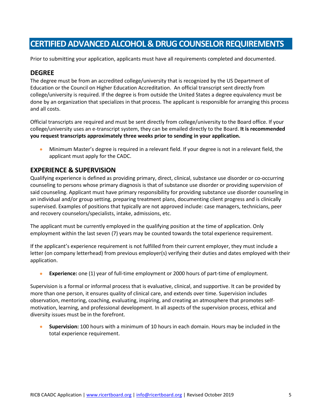## **CERTIFIED ADVANCED ALCOHOL & DRUG COUNSELOR REQUIREMENTS**

Prior to submitting your application, applicants must have all requirements completed and documented.

#### **DEGREE**

The degree must be from an accredited college/university that is recognized by the US Department of Education or the Council on Higher Education Accreditation. An official transcript sent directly from college/university is required. If the degree is from outside the United States a degree equivalency must be done by an organization that specializes in that process. The applicant is responsible for arranging this process and all costs.

Official transcripts are required and must be sent directly from college/university to the Board office. If your college/university uses an e-transcript system, they can be emailed directly to the Board. **It is recommended you request transcripts approximately three weeks prior to sending in your application.**

• Minimum Master's degree is required in a relevant field. If your degree is not in a relevant field, the applicant must apply for the CADC.

#### **EXPERIENCE & SUPERVISION**

Qualifying experience is defined as providing primary, direct, clinical, substance use disorder or co-occurring counseling to persons whose primary diagnosis is that of substance use disorder or providing supervision of said counseling. Applicant must have primary responsibility for providing substance use disorder counseling in an individual and/or group setting, preparing treatment plans, documenting client progress and is clinically supervised. Examples of positions that typically are not approved include: case managers, technicians, peer and recovery counselors/specialists, intake, admissions, etc.

The applicant must be currently employed in the qualifying position at the time of application. Only employment within the last seven (7) years may be counted towards the total experience requirement.

If the applicant's experience requirement is not fulfilled from their current employer, they must include a letter (on company letterhead) from previous employer(s) verifying their duties and dates employed with their application.

• **Experience:** one (1) year of full-time employment or 2000 hours of part-time of employment.

Supervision is a formal or informal process that is evaluative, clinical, and supportive. It can be provided by more than one person, it ensures quality of clinical care, and extends over time. Supervision includes observation, mentoring, coaching, evaluating, inspiring, and creating an atmosphere that promotes selfmotivation, learning, and professional development. In all aspects of the supervision process, ethical and diversity issues must be in the forefront.

• **Supervision:** 100 hours with a minimum of 10 hours in each domain. Hours may be included in the total experience requirement.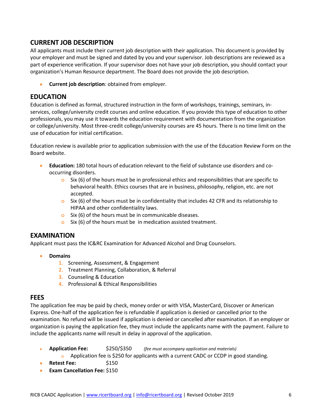#### **CURRENT JOB DESCRIPTION**

All applicants must include their current job description with their application. This document is provided by your employer and must be signed and dated by you and your supervisor. Job descriptions are reviewed as a part of experience verification. If your supervisor does not have your job description, you should contact your organization's Human Resource department. The Board does not provide the job description.

• **Current job description**: obtained from employer.

#### **EDUCATION**

Education is defined as formal, structured instruction in the form of workshops, trainings, seminars, inservices, college/university credit courses and online education. If you provide this type of education to other professionals, you may use it towards the education requirement with documentation from the organization or college/university. Most three-credit college/university courses are 45 hours. There is no time limit on the use of education for initial certification.

Education review is available prior to application submission with the use of the Education Review Form on the Board website.

- **Education:** 180 total hours of education relevant to the field of substance use disorders and cooccurring disorders.
	- **o** Six (6) of the hours must be in professional ethics and responsibilities that are specific to behavioral health. Ethics courses that are in business, philosophy, religion, etc. are not accepted.
	- **o** Six (6) of the hours must be in confidentiality that includes 42 CFR and its relationship to HIPAA and other confidentiality laws.
	- **o** Six (6) of the hours must be in communicable diseases.
	- **o** Six (6) of the hours must be in medication assisted treatment.

#### **EXAMINATION**

Applicant must pass the IC&RC Examination for Advanced Alcohol and Drug Counselors.

- **Domains**
	- **1.** Screening, Assessment, & Engagement
	- **2.** Treatment Planning, Collaboration, & Referral
	- **3.** Counseling & Education
	- **4.** Professional & Ethical Responsibilities

#### **FEES**

The application fee may be paid by check, money order or with VISA, MasterCard, Discover or American Express. One-half of the application fee is refundable if application is denied or cancelled prior to the examination. No refund will be issued if application is denied or cancelled after examination. If an employer or organization is paying the application fee, they must include the applicants name with the payment. Failure to include the applicants name will result in delay in approval of the application.

- **Application Fee:** \$250/\$350 *(fee must accompany application and materials)*
	- **o** Application fee is \$250 for applicants with a current CADC or CCDP in good standing.
- **Retest Fee:** \$150
- **Exam Cancellation Fee:** \$150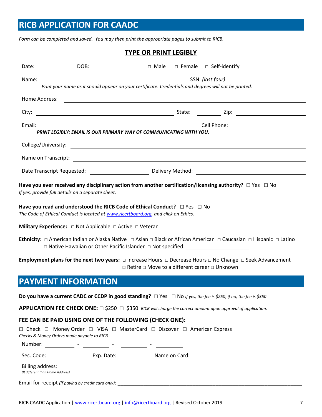# **RICB APPLICATION FOR CAADC**

*Form can be completed and saved. You may then print the appropriate pages to submit to RICB.*

#### **TYPE OR PRINT LEGIBLY**

| Name:                                                                                                                                                                                           | Print your name as it should appear on your certificate. Credentials and degrees will not be printed. |                                                                                |                                                                                                       |  |                                                                                                                             |  |
|-------------------------------------------------------------------------------------------------------------------------------------------------------------------------------------------------|-------------------------------------------------------------------------------------------------------|--------------------------------------------------------------------------------|-------------------------------------------------------------------------------------------------------|--|-----------------------------------------------------------------------------------------------------------------------------|--|
|                                                                                                                                                                                                 |                                                                                                       |                                                                                |                                                                                                       |  |                                                                                                                             |  |
|                                                                                                                                                                                                 | Home Address:                                                                                         |                                                                                | <u> 1980 - Johann Barnett, fransk politik (d. 1980)</u>                                               |  |                                                                                                                             |  |
|                                                                                                                                                                                                 |                                                                                                       |                                                                                |                                                                                                       |  |                                                                                                                             |  |
| Email:                                                                                                                                                                                          |                                                                                                       |                                                                                |                                                                                                       |  |                                                                                                                             |  |
|                                                                                                                                                                                                 |                                                                                                       |                                                                                | PRINT LEGIBLY: EMAIL IS OUR PRIMARY WAY OF COMMUNICATING WITH YOU.                                    |  |                                                                                                                             |  |
|                                                                                                                                                                                                 | College/University:                                                                                   |                                                                                |                                                                                                       |  |                                                                                                                             |  |
|                                                                                                                                                                                                 |                                                                                                       |                                                                                |                                                                                                       |  |                                                                                                                             |  |
|                                                                                                                                                                                                 |                                                                                                       |                                                                                |                                                                                                       |  |                                                                                                                             |  |
|                                                                                                                                                                                                 | If yes, provide full details on a separate sheet.                                                     |                                                                                |                                                                                                       |  | Have you ever received any disciplinary action from another certification/licensing authority? $\Box$ Yes $\Box$ No         |  |
| Have you read and understood the RICB Code of Ethical Conduct? $\square$ Yes $\square$ No<br>The Code of Ethical Conduct is located at www.ricertboard.org, and click on Ethics.                |                                                                                                       |                                                                                |                                                                                                       |  |                                                                                                                             |  |
|                                                                                                                                                                                                 |                                                                                                       | <b>Military Experience:</b> $\Box$ Not Applicable $\Box$ Active $\Box$ Veteran |                                                                                                       |  |                                                                                                                             |  |
| Ethnicity: □ American Indian or Alaska Native □ Asian □ Black or African American □ Caucasian □ Hispanic □ Latino                                                                               |                                                                                                       |                                                                                |                                                                                                       |  |                                                                                                                             |  |
| Employment plans for the next two years: $\Box$ Increase Hours $\Box$ Decrease Hours $\Box$ No Change $\Box$ Seek Advancement<br>$\Box$ Retire $\Box$ Move to a different career $\Box$ Unknown |                                                                                                       |                                                                                |                                                                                                       |  |                                                                                                                             |  |
|                                                                                                                                                                                                 | <b>PAYMENT INFORMATION</b>                                                                            |                                                                                |                                                                                                       |  |                                                                                                                             |  |
|                                                                                                                                                                                                 |                                                                                                       |                                                                                |                                                                                                       |  | Do you have a current CADC or CCDP in good standing? $\Box$ Yes $\Box$ No If yes, the fee is \$250; if no, the fee is \$350 |  |
| <b>APPLICATION FEE CHECK ONE:</b> $\Box$ \$250 $\Box$ \$350 RICB will charge the correct amount upon approval of application.                                                                   |                                                                                                       |                                                                                |                                                                                                       |  |                                                                                                                             |  |
|                                                                                                                                                                                                 |                                                                                                       |                                                                                | FEE CAN BE PAID USING ONE OF THE FOLLOWING (CHECK ONE):                                               |  |                                                                                                                             |  |
|                                                                                                                                                                                                 | Checks & Money Orders made payable to RICB                                                            |                                                                                | $\Box$ Check $\Box$ Money Order $\Box$ VISA $\Box$ MasterCard $\Box$ Discover $\Box$ American Express |  |                                                                                                                             |  |
|                                                                                                                                                                                                 |                                                                                                       |                                                                                |                                                                                                       |  |                                                                                                                             |  |
| Sec. Code:                                                                                                                                                                                      |                                                                                                       |                                                                                |                                                                                                       |  |                                                                                                                             |  |
|                                                                                                                                                                                                 | <b>Billing address:</b><br>(If different than Home Address)                                           |                                                                                |                                                                                                       |  |                                                                                                                             |  |
|                                                                                                                                                                                                 |                                                                                                       |                                                                                |                                                                                                       |  |                                                                                                                             |  |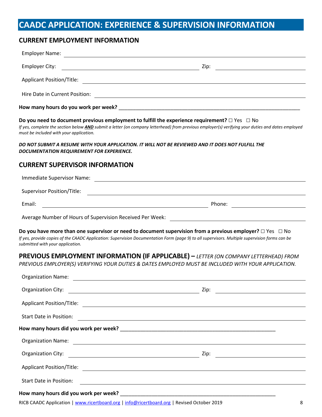# **CAADC APPLICATION: EXPERIENCE & SUPERVISION INFORMATION**

#### **CURRENT EMPLOYMENT INFORMATION**

| Employer Name:                                                                                                                   |                                                                                                                                                                                                                                                                       |
|----------------------------------------------------------------------------------------------------------------------------------|-----------------------------------------------------------------------------------------------------------------------------------------------------------------------------------------------------------------------------------------------------------------------|
| <b>Employer City:</b>                                                                                                            | Zip:<br><u> 1980 - Johann Barn, mars ann an t-Amhain Aonaich an t-Aonaich an t-Aonaich ann an t-Aonaich ann an t-Aonaich</u><br><u> 1989 - Johann Barn, fransk politik (d. 1989)</u>                                                                                  |
|                                                                                                                                  |                                                                                                                                                                                                                                                                       |
|                                                                                                                                  |                                                                                                                                                                                                                                                                       |
|                                                                                                                                  |                                                                                                                                                                                                                                                                       |
| must be included with your application.                                                                                          | Do you need to document previous employment to fulfill the experience requirement? $\Box$ Yes $\Box$ No<br>If yes, complete the section below AND submit a letter (on company letterhead) from previous employer(s) verifying your duties and dates employed          |
| DOCUMENTATION REQUIREMENT FOR EXPERIENCE.                                                                                        | DO NOT SUBMIT A RESUME WITH YOUR APPLICATION. IT WILL NOT BE REVIEWED AND IT DOES NOT FULFILL THE                                                                                                                                                                     |
| <b>CURRENT SUPERVISOR INFORMATION</b>                                                                                            |                                                                                                                                                                                                                                                                       |
|                                                                                                                                  | Immediate Supervisor Name: 2008 2009 2010 2020 2021 2022 2023 2024 2022 2023 2024 2022 2023 2024 2022 2023 2024                                                                                                                                                       |
|                                                                                                                                  |                                                                                                                                                                                                                                                                       |
| <u> 1989 - Johann Stoff, deutscher Stoffen und der Stoffen und der Stoffen und der Stoffen und der Stoffen und der</u><br>Email: | Phone:                                                                                                                                                                                                                                                                |
|                                                                                                                                  |                                                                                                                                                                                                                                                                       |
| submitted with your application.                                                                                                 | Do you have more than one supervisor or need to document supervision from a previous employer? $\Box$ Yes $\Box$ No<br>If yes, provide copies of the CAADC Application: Supervision Documentation Form (page 9) to all supervisors. Multiple supervision forms can be |
|                                                                                                                                  | <b>PREVIOUS EMPLOYMENT INFORMATION (IF APPLICABLE)</b> - LETTER (ON COMPANY LETTERHEAD) FROM                                                                                                                                                                          |
|                                                                                                                                  | PREVIOUS EMPLOYER(S) VERIFYING YOUR DUTIES & DATES EMPLOYED MUST BE INCLUDED WITH YOUR APPLICATION.                                                                                                                                                                   |
| <b>Organization Name:</b>                                                                                                        | <u> 1980 - Johann Barbara, martxa alemaniar arg</u>                                                                                                                                                                                                                   |
| Organization City:                                                                                                               | Zip:<br><u> 1980 - Johann Barbara, martxa alemaniar a</u>                                                                                                                                                                                                             |
|                                                                                                                                  |                                                                                                                                                                                                                                                                       |
| Start Date in Position:                                                                                                          | <u> 2000 - Andrea Andrewski, politik američki politik († 18. února 18. december - 18. december - 18. december - 1</u>                                                                                                                                                 |
|                                                                                                                                  |                                                                                                                                                                                                                                                                       |
|                                                                                                                                  |                                                                                                                                                                                                                                                                       |
|                                                                                                                                  |                                                                                                                                                                                                                                                                       |
|                                                                                                                                  | Applicant Position/Title: 2002/06/2012 20:00:00 20:00:00 20:00:00 20:00:00 20:00:00 20:00:00 20:00:00 20:00:00                                                                                                                                                        |
| Start Date in Position:                                                                                                          | <u> 1999 - Johann Harry Harry Harry Harry Harry Harry Harry Harry Harry Harry Harry Harry Harry Harry Harry Harry H</u>                                                                                                                                               |
|                                                                                                                                  |                                                                                                                                                                                                                                                                       |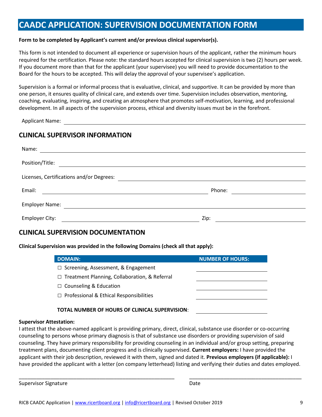# **CAADC APPLICATION: SUPERVISION DOCUMENTATION FORM**

#### **Form to be completed by Applicant's current and/or previous clinical supervisor(s).**

This form is not intended to document all experience or supervision hours of the applicant, rather the minimum hours required for the certification. Please note: the standard hours accepted for clinical supervision is two (2) hours per week. If you document more than that for the applicant (your supervisee) you will need to provide documentation to the Board for the hours to be accepted. This will delay the approval of your supervisee's application.

Supervision is a formal or informal process that is evaluative, clinical, and supportive. It can be provided by more than one person, it ensures quality of clinical care, and extends over time. Supervision includes observation, mentoring, coaching, evaluating, inspiring, and creating an atmosphere that promotes self-motivation, learning, and professional development. In all aspects of the supervision process, ethical and diversity issues must be in the forefront.

Applicant Name:

#### **CLINICAL SUPERVISOR INFORMATION**

| Name:                                                                 |        |  |
|-----------------------------------------------------------------------|--------|--|
| Position/Title:<br><u> 1989 - John Stein, Amerikaansk politiker (</u> |        |  |
| Licenses, Certifications and/or Degrees:                              |        |  |
| Email:                                                                | Phone: |  |
| <b>Employer Name:</b>                                                 |        |  |
| Employer City:                                                        | Zip:   |  |

#### **CLINICAL SUPERVISION DOCUMENTATION**

#### **Clinical Supervision was provided in the following Domains (check all that apply):**

| <b>DOMAIN:</b>                                        | <b>NUMBER OF HOURS:</b> |
|-------------------------------------------------------|-------------------------|
| $\Box$ Screening, Assessment, & Engagement            |                         |
| $\Box$ Treatment Planning, Collaboration, & Referral  |                         |
| $\Box$ Counseling & Education                         |                         |
| $\Box$ Professional & Ethical Responsibilities        |                         |
| <b>TOTAL NUMBER OF HOURS OF CLINICAL SUPERVISION:</b> |                         |

#### **Supervisor Attestation:**

I attest that the above-named applicant is providing primary, direct, clinical, substance use disorder or co-occurring counseling to persons whose primary diagnosis is that of substance use disorders or providing supervision of said counseling. They have primary responsibility for providing counseling in an individual and/or group setting, preparing treatment plans, documenting client progress and is clinically supervised. **Current employers:** I have provided the applicant with their job description, reviewed it with them, signed and dated it. **Previous employers (if applicable):** I have provided the applicant with a letter (on company letterhead) listing and verifying their duties and dates employed.

\_\_\_\_\_\_\_\_\_\_\_\_\_\_\_\_\_\_\_\_\_\_\_\_\_\_\_\_\_\_\_\_\_\_\_\_\_\_\_\_\_\_\_\_\_\_\_\_\_\_\_\_\_\_ \_\_\_\_\_\_\_\_\_\_\_\_\_\_\_\_\_\_\_\_\_\_\_\_\_\_\_\_\_\_\_\_\_\_\_\_\_\_\_

Supervisor Signature **Date** Date of *Supervisor Signature* Date of *Date* Date of *Date*